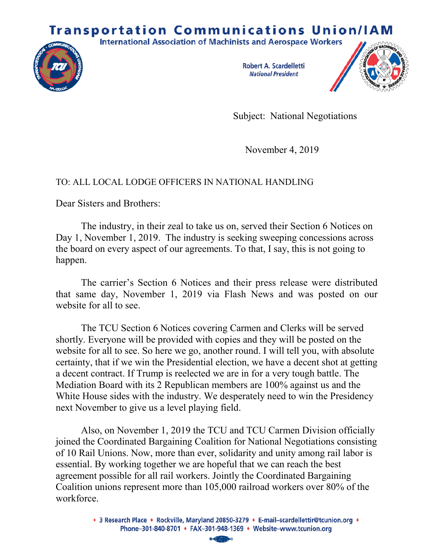## **Transportation Communications Union/IAM**





**Robert A. Scardelletti National President** 



Subject: National Negotiations

November 4, 2019

## TO: ALL LOCAL LODGE OFFICERS IN NATIONAL HANDLING

Dear Sisters and Brothers:

The industry, in their zeal to take us on, served their Section 6 Notices on Day 1, November 1, 2019. The industry is seeking sweeping concessions across the board on every aspect of our agreements. To that, I say, this is not going to happen.

The carrier's Section 6 Notices and their press release were distributed that same day, November 1, 2019 via Flash News and was posted on our website for all to see.

The TCU Section 6 Notices covering Carmen and Clerks will be served shortly. Everyone will be provided with copies and they will be posted on the website for all to see. So here we go, another round. I will tell you, with absolute certainty, that if we win the Presidential election, we have a decent shot at getting a decent contract. If Trump is reelected we are in for a very tough battle. The Mediation Board with its 2 Republican members are 100% against us and the White House sides with the industry. We desperately need to win the Presidency next November to give us a level playing field.

Also, on November 1, 2019 the TCU and TCU Carmen Division officially joined the Coordinated Bargaining Coalition for National Negotiations consisting of 10 Rail Unions. Now, more than ever, solidarity and unity among rail labor is essential. By working together we are hopeful that we can reach the best agreement possible for all rail workers. Jointly the Coordinated Bargaining Coalition unions represent more than 105,000 railroad workers over 80% of the workforce.

<sup>• 3</sup> Research Place • Rockville, Maryland 20850-3279 • E-mail-scardellettir@tcunion.org • Phone-301-840-8701 • FAX-301-948-1369 • Website-www.tcunion.org